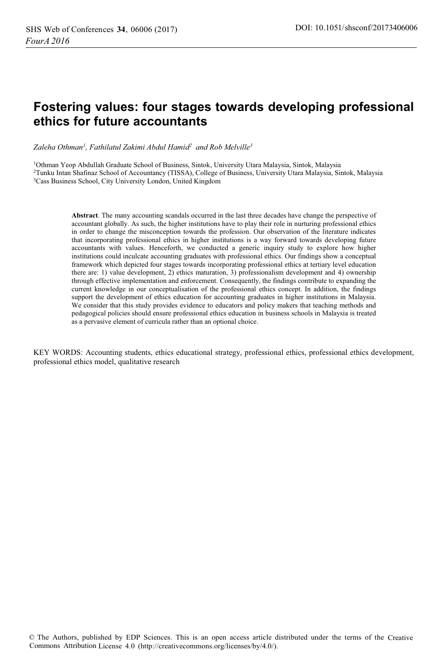# **Fostering values: four stages towards developing professional ethics for future accountants**

*Zaleha Othman1 , Fathilatul Zakimi Abdul Hamid2 and Rob Melville3*

1 Othman Yeop Abdullah Graduate School of Business, Sintok, University Utara Malaysia, Sintok, Malaysia <sup>2</sup>Tunku Intan Shafinaz School of Accountancy (TISSA), College of Business, University Utara Malaysia, Sintok, Malaysia<br><sup>3</sup>Cass Business School. City University London. United Kingdom <sup>3</sup>Cass Business School, City University London, United Kingdom

> **Abstract**. The many accounting scandals occurred in the last three decades have change the perspective of accountant globally. As such, the higher institutions have to play their role in nurturing professional ethics in order to change the misconception towards the profession. Our observation of the literature indicates that incorporating professional ethics in higher institutions is a way forward towards developing future accountants with values. Henceforth, we conducted a generic inquiry study to explore how higher institutions could inculcate accounting graduates with professional ethics. Our findings show a conceptual framework which depicted four stages towards incorporating professional ethics at tertiary level education there are: 1) value development, 2) ethics maturation, 3) professionalism development and 4) ownership through effective implementation and enforcement. Consequently, the findings contribute to expanding the current knowledge in our conceptualisation of the professional ethics concept. In addition, the findings support the development of ethics education for accounting graduates in higher institutions in Malaysia. We consider that this study provides evidence to educators and policy makers that teaching methods and pedagogical policies should ensure professional ethics education in business schools in Malaysia is treated as a pervasive element of curricula rather than an optional choice.

KEY WORDS: Accounting students, ethics educational strategy, professional ethics, professional ethics development, professional ethics model, qualitative research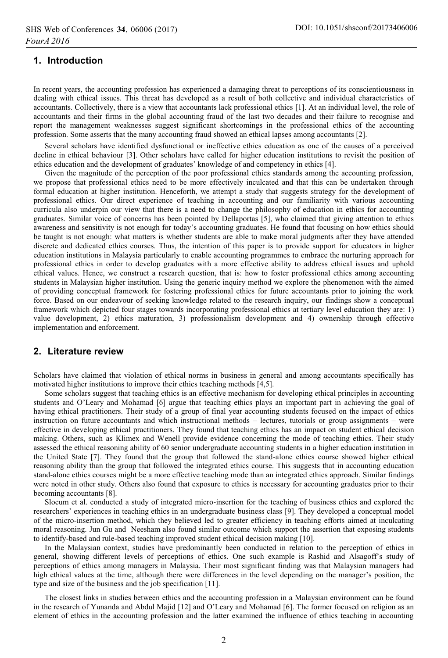# **1. Introduction**

In recent years, the accounting profession has experienced a damaging threat to perceptions of its conscientiousness in dealing with ethical issues. This threat has developed as a result of both collective and individual characteristics of accountants. Collectively, there is a view that accountants lack professional ethics [1]. At an individual level, the role of accountants and their firms in the global accounting fraud of the last two decades and their failure to recognise and report the management weaknesses suggest significant shortcomings in the professional ethics of the accounting profession. Some asserts that the many accounting fraud showed an ethical lapses among accountants [2].

Several scholars have identified dysfunctional or ineffective ethics education as one of the causes of a perceived decline in ethical behaviour [3]. Other scholars have called for higher education institutions to revisit the position of ethics education and the development of graduates' knowledge of and competency in ethics [4].

Given the magnitude of the perception of the poor professional ethics standards among the accounting profession, we propose that professional ethics need to be more effectively inculcated and that this can be undertaken through formal education at higher institution. Henceforth, we attempt a study that suggests strategy for the development of professional ethics. Our direct experience of teaching in accounting and our familiarity with various accounting curricula also underpin our view that there is a need to change the philosophy of education in ethics for accounting graduates. Similar voice of concerns has been pointed by Dellaportas [5], who claimed that giving attention to ethics awareness and sensitivity is not enough for today's accounting graduates. He found that focusing on how ethics should be taught is not enough: what matters is whether students are able to make moral judgments after they have attended discrete and dedicated ethics courses. Thus, the intention of this paper is to provide support for educators in higher education institutions in Malaysia particularly to enable accounting programmes to embrace the nurturing approach for professional ethics in order to develop graduates with a more effective ability to address ethical issues and uphold ethical values. Hence, we construct a research question, that is: how to foster professional ethics among accounting students in Malaysian higher institution. Using the generic inquiry method we explore the phenomenon with the aimed of providing conceptual framework for fostering professional ethics for future accountants prior to joining the work force. Based on our endeavour of seeking knowledge related to the research inquiry, our findings show a conceptual framework which depicted four stages towards incorporating professional ethics at tertiary level education they are: 1) value development, 2) ethics maturation, 3) professionalism development and 4) ownership through effective implementation and enforcement.

#### **2. Literature review**

Scholars have claimed that violation of ethical norms in business in general and among accountants specifically has motivated higher institutions to improve their ethics teaching methods [4,5].

Some scholars suggest that teaching ethics is an effective mechanism for developing ethical principles in accounting students and O'Leary and Mohamad [6] argue that teaching ethics plays an important part in achieving the goal of having ethical practitioners. Their study of a group of final year accounting students focused on the impact of ethics instruction on future accountants and which instructional methods – lectures, tutorials or group assignments – were effective in developing ethical practitioners. They found that teaching ethics has an impact on student ethical decision making. Others, such as Klimex and Wenell provide evidence concerning the mode of teaching ethics. Their study assessed the ethical reasoning ability of 60 senior undergraduate accounting students in a higher education institution in the United State [7]. They found that the group that followed the stand-alone ethics course showed higher ethical reasoning ability than the group that followed the integrated ethics course. This suggests that in accounting education stand-alone ethics courses might be a more effective teaching mode than an integrated ethics approach. Similar findings were noted in other study. Others also found that exposure to ethics is necessary for accounting graduates prior to their becoming accountants [8].

Slocum et al. conducted a study of integrated micro-insertion for the teaching of business ethics and explored the researchers' experiences in teaching ethics in an undergraduate business class [9]. They developed a conceptual model of the micro-insertion method, which they believed led to greater efficiency in teaching efforts aimed at inculcating moral reasoning. Jun Gu and Neesham also found similar outcome which support the assertion that exposing students to identify-based and rule-based teaching improved student ethical decision making [10].

In the Malaysian context, studies have predominantly been conducted in relation to the perception of ethics in general, showing different levels of perceptions of ethics. One such example is Rashid and Alsagoff's study of perceptions of ethics among managers in Malaysia. Their most significant finding was that Malaysian managers had high ethical values at the time, although there were differences in the level depending on the manager's position, the type and size of the business and the job specification [11].

The closest links in studies between ethics and the accounting profession in a Malaysian environment can be found in the research of Yunanda and Abdul Majid [12] and O'Leary and Mohamad [6]. The former focused on religion as an element of ethics in the accounting profession and the latter examined the influence of ethics teaching in accounting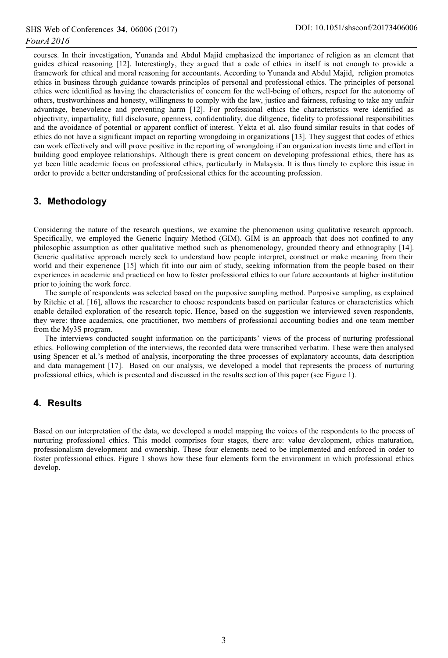courses. In their investigation, Yunanda and Abdul Majid emphasized the importance of religion as an element that guides ethical reasoning [12]. Interestingly, they argued that a code of ethics in itself is not enough to provide a framework for ethical and moral reasoning for accountants. According to Yunanda and Abdul Majid, religion promotes ethics in business through guidance towards principles of personal and professional ethics. The principles of personal ethics were identified as having the characteristics of concern for the well-being of others, respect for the autonomy of others, trustworthiness and honesty, willingness to comply with the law, justice and fairness, refusing to take any unfair advantage, benevolence and preventing harm [12]. For professional ethics the characteristics were identified as objectivity, impartiality, full disclosure, openness, confidentiality, due diligence, fidelity to professional responsibilities and the avoidance of potential or apparent conflict of interest. Yekta et al. also found similar results in that codes of ethics do not have a significant impact on reporting wrongdoing in organizations [13]. They suggest that codes of ethics can work effectively and will prove positive in the reporting of wrongdoing if an organization invests time and effort in building good employee relationships. Although there is great concern on developing professional ethics, there has as yet been little academic focus on professional ethics, particularly in Malaysia. It is thus timely to explore this issue in order to provide a better understanding of professional ethics for the accounting profession.

### **3. Methodology**

Considering the nature of the research questions, we examine the phenomenon using qualitative research approach. Specifically, we employed the Generic Inquiry Method (GIM). GIM is an approach that does not confined to any philosophic assumption as other qualitative method such as phenomenology, grounded theory and ethnography [14]. Generic qualitative approach merely seek to understand how people interpret, construct or make meaning from their world and their experience [15] which fit into our aim of study, seeking information from the people based on their experiences in academic and practiced on how to foster professional ethics to our future accountants at higher institution prior to joining the work force.

The sample of respondents was selected based on the purposive sampling method. Purposive sampling, as explained by Ritchie et al. [16], allows the researcher to choose respondents based on particular features or characteristics which enable detailed exploration of the research topic. Hence, based on the suggestion we interviewed seven respondents, they were: three academics, one practitioner, two members of professional accounting bodies and one team member from the My3S program.

The interviews conducted sought information on the participants' views of the process of nurturing professional ethics. Following completion of the interviews, the recorded data were transcribed verbatim. These were then analysed using Spencer et al.'s method of analysis, incorporating the three processes of explanatory accounts, data description and data management [17]. Based on our analysis, we developed a model that represents the process of nurturing professional ethics, which is presented and discussed in the results section of this paper (see Figure 1).

#### **4. Results**

Based on our interpretation of the data, we developed a model mapping the voices of the respondents to the process of nurturing professional ethics. This model comprises four stages, there are: value development, ethics maturation, professionalism development and ownership. These four elements need to be implemented and enforced in order to foster professional ethics. Figure 1 shows how these four elements form the environment in which professional ethics develop.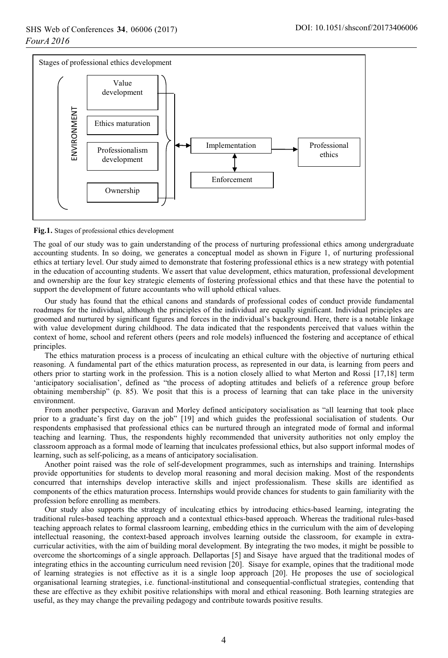

#### **Fig.1.** Stages of professional ethics development

The goal of our study was to gain understanding of the process of nurturing professional ethics among undergraduate accounting students. In so doing, we generates a conceptual model as shown in Figure 1, of nurturing professional ethics at tertiary level. Our study aimed to demonstrate that fostering professional ethics is a new strategy with potential in the education of accounting students. We assert that value development, ethics maturation, professional development and ownership are the four key strategic elements of fostering professional ethics and that these have the potential to support the development of future accountants who will uphold ethical values.

Our study has found that the ethical canons and standards of professional codes of conduct provide fundamental roadmaps for the individual, although the principles of the individual are equally significant. Individual principles are groomed and nurtured by significant figures and forces in the individual's background. Here, there is a notable linkage with value development during childhood. The data indicated that the respondents perceived that values within the context of home, school and referent others (peers and role models) influenced the fostering and acceptance of ethical principles.

The ethics maturation process is a process of inculcating an ethical culture with the objective of nurturing ethical reasoning. A fundamental part of the ethics maturation process, as represented in our data, is learning from peers and others prior to starting work in the profession. This is a notion closely allied to what Merton and Rossi [17,18] term 'anticipatory socialisation', defined as "the process of adopting attitudes and beliefs of a reference group before obtaining membership" (p. 85). We posit that this is a process of learning that can take place in the university environment.

From another perspective, Garavan and Morley defined anticipatory socialisation as "all learning that took place prior to a graduate's first day on the job" [19] and which guides the professional socialisation of students. Our respondents emphasised that professional ethics can be nurtured through an integrated mode of formal and informal teaching and learning. Thus, the respondents highly recommended that university authorities not only employ the classroom approach as a formal mode of learning that inculcates professional ethics, but also support informal modes of learning, such as self-policing, as a means of anticipatory socialisation.

Another point raised was the role of self-development programmes, such as internships and training. Internships provide opportunities for students to develop moral reasoning and moral decision making. Most of the respondents concurred that internships develop interactive skills and inject professionalism. These skills are identified as components of the ethics maturation process. Internships would provide chances for students to gain familiarity with the profession before enrolling as members.

Our study also supports the strategy of inculcating ethics by introducing ethics-based learning, integrating the traditional rules-based teaching approach and a contextual ethics-based approach. Whereas the traditional rules-based teaching approach relates to formal classroom learning, embedding ethics in the curriculum with the aim of developing intellectual reasoning, the context-based approach involves learning outside the classroom, for example in extracurricular activities, with the aim of building moral development. By integrating the two modes, it might be possible to overcome the shortcomings of a single approach. Dellaportas [5] and Sisaye have argued that the traditional modes of integrating ethics in the accounting curriculum need revision [20]. Sisaye for example, opines that the traditional mode of learning strategies is not effective as it is a single loop approach [20]. He proposes the use of sociological organisational learning strategies, i.e. functional-institutional and consequential-conflictual strategies, contending that these are effective as they exhibit positive relationships with moral and ethical reasoning. Both learning strategies are useful, as they may change the prevailing pedagogy and contribute towards positive results.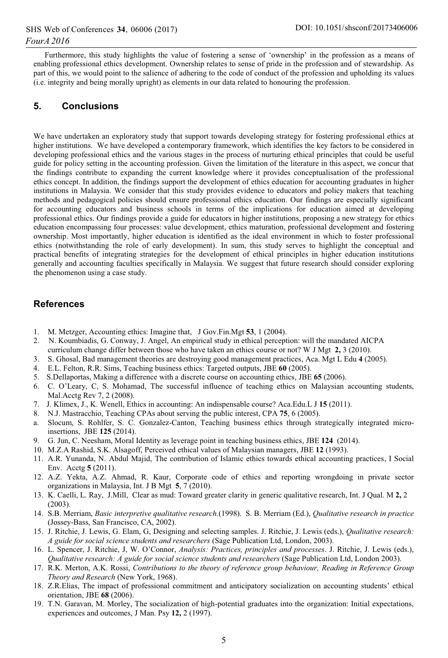Furthermore, this study highlights the value of fostering a sense of 'ownership' in the profession as a means of enabling professional ethics development. Ownership relates to sense of pride in the profession and of stewardship. As part of this, we would point to the salience of adhering to the code of conduct of the profession and upholding its values (i.e. integrity and being morally upright) as elements in our data related to honouring the profession.

## **5. Conclusions**

We have undertaken an exploratory study that support towards developing strategy for fostering professional ethics at higher institutions. We have developed a contemporary framework, which identifies the key factors to be considered in developing professional ethics and the various stages in the process of nurturing ethical principles that could be useful guide for policy setting in the accounting profession. Given the limitation of the literature in this aspect, we concur that the findings contribute to expanding the current knowledge where it provides conceptualisation of the professional ethics concept. In addition, the findings support the development of ethics education for accounting graduates in higher institutions in Malaysia. We consider that this study provides evidence to educators and policy makers that teaching methods and pedagogical policies should ensure professional ethics education. Our findings are especially significant for accounting educators and business schools in terms of the implications for education aimed at developing professional ethics. Our findings provide a guide for educators in higher institutions, proposing a new strategy for ethics education encompassing four processes: value development, ethics maturation, professional development and fostering ownership. Most importantly, higher education is identified as the ideal environment in which to foster professional ethics (notwithstanding the role of early development). In sum, this study serves to highlight the conceptual and practical benefits of integrating strategies for the development of ethical principles in higher education institutions generally and accounting faculties specifically in Malaysia. We suggest that future research should consider exploring the phenomenon using a case study.

### **References**

- 1. M. Metzger, Accounting ethics: Imagine that, J Gov.Fin.Mgt **53**, 1 (2004).
- 2. N. Koumbiadis, G. Conway, J. Angel, An empirical study in ethical perception: will the mandated AICPA curriculum change differ between those who have taken an ethics course or not? W J Mgt **2,** 3 (2010).
- 3. S. Ghosal, Bad management theories are destroying good management practices, Aca. Mgt L Edu **4** (2005).
- 4. E.L. Felton, R.R. Sims, Teaching business ethics: Targeted outputs, JBE **60** (2005).
- 
- 5. S.Dellaportas, Making a difference with a discrete course on accounting ethics, JBE **65** (2006). 6. C. O'Leary, C, S. Mohamad, The successful influence of teaching ethics on Malaysian accounting students, Mal.Acctg Rev 7, 2 (2008).
- 7. J. Klimex, J., K. Wenell, Ethics in accounting: An indispensable course? Aca.Edu.L J **15** (2011).
- 8. N.J. Mastracchio, Teaching CPAs about serving the public interest, CPA **75**, 6 (2005).
- a. Slocum, S. Rohlfer, S. C. Gonzalez-Canton, Teaching business ethics through strategically integrated microinsertions, JBE **125** (2014).
- 9. G. Jun, C. Neesham, Moral Identity as leverage point in teaching business ethics, JBE **124** (2014).
- 10. M.Z.A Rashid, S.K. Alsagoff, Perceived ethical values of Malaysian managers, JBE **12** (1993).
- 11. A.R. Yunanda, N. Abdul Majid, The contribution of Islamic ethics towards ethical accounting practices, I Social Env. Acctg **5** (2011).
- 12. A.Z. Yekta, A.Z. Ahmad, R. Kaur, Corporate code of ethics and reporting wrongdoing in private sector organizations in Malaysia, Int. J B Mgt **5**, 7 (2010).
- 13. K. Caelli, L. Ray, J.Mill, Clear as mud: Toward greater clarity in generic qualitative research, Int. J Qual. M **2,** <sup>2</sup> (2003).
- 14. S.B. Merriam, *Basic interpretive qualitative research.*(1998). S. B. Merriam (Ed.), *Qualitative research in practice* (Jossey-Bass, San Francisco, CA, 2002).
- 15. J. Ritchie, J. Lewis, G. Elam, G, Designing and selecting samples. J. Ritchie, J. Lewis (eds.), *Qualitative research: A guide for social science students and researchers* (Sage Publication Ltd, London, 2003).
- 16. L. Spencer, J. Ritchie, J, W. O'Connor, *Analysis: Practices, principles and processes*. J. Ritchie, J. Lewis (eds.), *Qualitative research: A guide for social science students and researchers* (Sage Publication Ltd, London 2003).
- 17. R.K. Merton, A.K. Rossi, *Contributions to the theory of reference group behaviour, Reading in Reference Group Theory and Research* (New York, 1968).
- 18. Z.R.Elias, The impact of professional commitment and anticipatory socialization on accounting students' ethical orientation, JBE **68** (2006).
- 19. T.N. Garavan, M. Morley, The socialization of high-potential graduates into the organization: Initial expectations, experiences and outcomes, J Man. Psy **12,** 2 (1997).